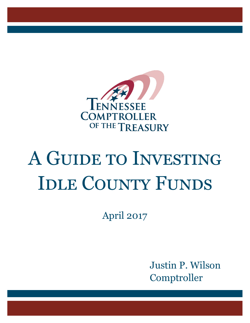

# A Guide to Investing IDLE COUNTY FUNDS

April 2017

 Justin P. Wilson Comptroller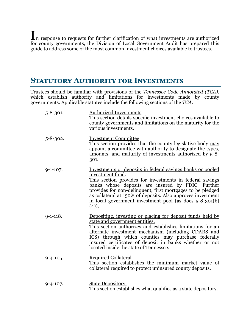$\prod_{n=1}^{\infty}$  response to requests for further clarification of what investments are authorized for county governments, the Division of Local Government Audit has prepared this guide to address some of the most common investment choices available to trustees.

## **STATUTORY AUTHORITY FOR INVESTMENTS**

Trustees should be familiar with provisions of the *Tennessee Code Annotated (TCA)*, which establish authority and limitations for investments made by county governments. Applicable statutes include the following sections of the *TCA*:

| $5 - 8 - 301.$ | <b>Authorized Investments</b><br>This section details specific investment choices available to<br>county governments and limitations on the maturity for the<br>various investments.                                                                                                                                                                                                                |
|----------------|-----------------------------------------------------------------------------------------------------------------------------------------------------------------------------------------------------------------------------------------------------------------------------------------------------------------------------------------------------------------------------------------------------|
| $5 - 8 - 302.$ | <b>Investment Committee</b><br>This section provides that the county legislative body may<br>appoint a committee with authority to designate the types,<br>amounts, and maturity of investments authorized by 5-8-<br>301.                                                                                                                                                                          |
| $9-1-107.$     | Investments or deposits in federal savings banks or pooled<br>investment fund.<br>This section provides for investments in federal savings<br>banks whose deposits are insured by FDIC. Further<br>provides for non-delinquent, first mortgages to be pledged<br>as collateral at 150% of deposits. Also approves investment<br>in local government investment pool (as does 5-8-301(b)<br>$(4)$ ). |
| $9-1-118.$     | Depositing, investing or placing for deposit funds held by<br>state and government entities.<br>This section authorizes and establishes limitations for an<br>alternate investment mechanism (including CDARS and<br>ICS) through which counties may purchase federally<br>insured certificates of deposit in banks whether or not<br>located inside the state of Tennessee.                        |
| $9 - 4 - 105.$ | Required Collateral.<br>This section establishes the minimum market value of<br>collateral required to protect uninsured county deposits.                                                                                                                                                                                                                                                           |
| $9 - 4 - 107.$ | <b>State Depository.</b><br>This section establishes what qualifies as a state depository.                                                                                                                                                                                                                                                                                                          |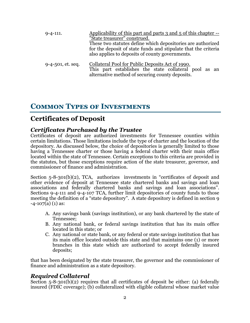| $9 - 4 - 111.$       | Applicability of this part and parts 3 and $5$ of this chapter $-$<br>"State treasurer" construed.<br>These two statutes define which depositories are authorized<br>for the deposit of state funds and stipulate that the criteria<br>also applies to deposits of county governments. |  |
|----------------------|----------------------------------------------------------------------------------------------------------------------------------------------------------------------------------------------------------------------------------------------------------------------------------------|--|
| $9-4-501$ , et. seq. | Collateral Pool for Public Deposits Act of 1990.<br>This part establishes the state collateral pool as an<br>alternative method of securing county deposits.                                                                                                                           |  |

# **Common Types of Investments**

## **Certificates of Deposit**

## *Certificates Purchased by the Trustee*

Certificates of deposit are authorized investments for Tennessee counties within certain limitations. Those limitations include the type of charter and the location of the depository. As discussed below, the choice of depositories is generally limited to those having a Tennessee charter or those having a federal charter with their main office located within the state of Tennessee. Certain exceptions to this criteria are provided in the statutes, but those exceptions require action of the state treasurer, governor, and commissioner of finance and administration.

Section 5-8-301(b)(2), TCA, authorizes investments in "certificates of deposit and other evidence of deposit at Tennessee state chartered banks and savings and loan associations and federally chartered banks and savings and loan associations". Sections 9-4-111 and 9-4-107 TCA, further limit depositories of county funds to those meeting the definition of a "state depository". A state depository is defined in section 9  $-4-107(a)$  (1) as:

- A. Any savings bank (savings institution), or any bank chartered by the state of Tennessee;
- B. Any national bank, or federal savings institution that has its main office located in this state; or
- C. Any national or state bank, or any federal or state savings institution that has its main office located outside this state and that maintains one (1) or more branches in this state which are authorized to accept federally insured deposits;

that has been designated by the state treasurer, the governor and the commissioner of finance and administration as a state depository.

### *Required Collateral*

Section 5-8-301(b)(2) requires that all certificates of deposit be either: (a) federally insured (FDIC coverage); (b) collateralized with eligible collateral whose market value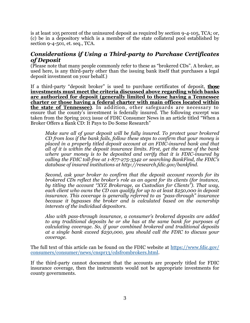is at least 105 percent of the uninsured deposit as required by section 9-4-105, TCA; or, (c) be in a depository which is a member of the state collateral pool established by section 9-4-501, et. seq., TCA.

## *Considerations if Using a Third-party to Purchase Certificates of Deposit*

(Please note that many people commonly refer to these as "brokered CDs". A broker, as used here, is any third-party other than the issuing bank itself that purchases a legal deposit investment on your behalf.)

If a third-party "deposit broker" is used to purchase certificates of deposit, **those investments must meet the criteria discussed above regarding which banks are authorized for deposit (generally limited to those having a Tennessee charter or those having a federal charter with main offices located within the state of Tennessee)**. In addition, other safeguards are necessary to ensure that the county's investment is federally insured. The following excerpt was taken from the Spring 2013 issue of FDIC Consumer News in an article titled "When a Broker Offers a Bank CD: It Pays to Do Some Research"

*Make sure all of your deposit will be fully insured. To protect your brokered CD from loss if the bank fails, follow these steps to confirm that your money is placed in a properly titled deposit account at an FDIC-insured bank and that all of it is within the deposit insurance limits. First, get the name of the bank where your money is to be deposited and verify that it is FDIC-insured by calling the FDIC toll-free at 1-877-275-3342 or searching BankFind, the FDIC's database of insured institutions at http://research.fdic.gov/bankfind.*

*Second, ask your broker to confirm that the deposit account records for its brokered CDs reflect the broker's role as an agent for its clients (for instance, by titling the account "XYZ Brokerage, as Custodian for Clients"). That way, each client who owns the CD can qualify for up to at least \$250,000 in deposit insurance. This coverage is generally referred to as "pass-through" insurance because it bypasses the broker and is calculated based on the ownership interests of the individual depositors.*

*Also with pass-through insurance, a consumer's brokered deposits are added to any traditional deposits he or she has at the same bank for purposes of calculating coverage. So, if your combined brokered and traditional deposits at a single bank exceed \$250,000, you should call the FDIC to discuss your coverage.*

The full text of this article can be found on the FDIC website at [https://www.fdic.gov/](https://www.fdic.gov/consumers/consumer/news/cnspr13/cdsfrombrokers.html) [consumers/consumer/news/cnspr13/cdsfrombrokers.html.](https://www.fdic.gov/consumers/consumer/news/cnspr13/cdsfrombrokers.html)

If the third-party cannot document that the accounts are properly titled for FDIC insurance coverage, then the instruments would not be appropriate investments for county governments.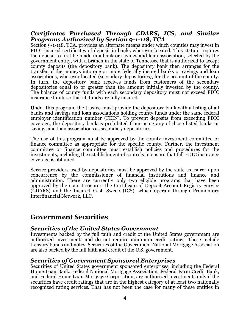## *Certificates Purchased Through CDARS, ICS, and Similar Programs Authorized by Section 9-1-118, TCA*

Section 9-1-118, TCA, provides an alternate means under which counties may invest in FDIC insured certificates of deposit in banks wherever located. This statute requires the deposit to first be made in a bank or savings and loan association, selected by the government entity, with a branch in the state of Tennessee that is authorized to accept county deposits (the depository bank). The depository bank then arranges for the transfer of the moneys into one or more federally insured banks or savings and loan associations, wherever located (secondary depositories), for the account of the county. In turn, the depository bank receives funds from customers of the secondary depositories equal to or greater than the amount initially invested by the county. The balance of county funds with each secondary depository must not exceed FDIC insurance limits so that all funds are fully insured.

Under this program, the trustee must provide the depository bank with a listing of all banks and savings and loan associations holding county funds under the same federal employer identification number (FEIN). To prevent deposits from exceeding FDIC coverage, the depository bank is prohibited from using any of those listed banks or savings and loan associations as secondary depositories.

The use of this program must be approved by the county investment committee or finance committee as appropriate for the specific county. Further, the investment committee or finance committee must establish policies and procedures for the investments, including the establishment of controls to ensure that full FDIC insurance coverage is obtained.

Service providers used by depositories must be approved by the state treasurer upon concurrence by the commissioner of financial institutions and finance and administration. There are currently only two eligible programs that have been approved by the state treasurer: the Certificate of Deposit Account Registry Service (CDARS) and the Insured Cash Sweep (ICS), which operate through Promontory Interfinancial Network, LLC.

## **Government Securities**

### *Securities of the United States Government*

Investments backed by the full faith and credit of the United States government are authorized investments and do not require minimum credit ratings. These include treasury bonds and notes. Securities of the Government National Mortgage Association are also backed by the full faith and credit of the U.S. government.

### *Securities of Government Sponsored Enterprises*

Securities of United States government sponsored enterprises, including the Federal Home Loan Bank, Federal National Mortgage Association, Federal Farm Credit Bank, and Federal Home Loan Mortgage Corporation, are authorized investments only if the securities have credit ratings that are in the highest category of at least two nationally recognized rating services. That has not been the case for many of these entities in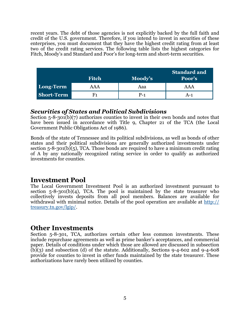recent years. The debt of those agencies is not explicitly backed by the full faith and credit of the U.S. government. Therefore, if you intend to invest in securities of these enterprises, you must document that they have the highest credit rating from at least two of the credit rating services. The following table lists the highest categories for Fitch, Moody's and Standard and Poor's for long-term and short-term securities.

|                   | <b>Fitch</b> | Moody's | <b>Standard and</b><br>Poor's |
|-------------------|--------------|---------|-------------------------------|
| Long-Term         | AAA          | Aaa     | AAA                           |
| <b>Short-Term</b> | F1           | $P-1$   | $A-1$                         |

## *Securities of States and Political Subdivisions*

Section 5-8-301(b)(7) authorizes counties to invest in their own bonds and notes that have been issued in accordance with Title 9, Chapter 21 of the TCA (the Local Government Public Obligations Act of 1986).

Bonds of the state of Tennessee and its political subdivisions, as well as bonds of other states and their political subdivisions are generally authorized investments under section 5-8-301(b)(5), TCA. Those bonds are required to have a minimum credit rating of A by any nationally recognized rating service in order to qualify as authorized investments for counties.

## **Investment Pool**

The Local Government Investment Pool is an authorized investment pursuant to section  $5-8-301(b)(4)$ , TCA. The pool is maintained by the state treasurer who collectively invests deposits from all pool members. Balances are available for withdrawal with minimal notice. Details of the pool operation are available at [http://](http://treasury.tn.gov/lgip/) [treasury.tn.gov/lgip/.](http://treasury.tn.gov/lgip/)

### **Other Investments**

Section 5-8-301, TCA, authorizes certain other less common investments. These include repurchase agreements as well as prime banker's acceptances, and commercial paper. Details of conditions under which those are allowed are discussed in subsection (b)(3) and subsection (d) of the statute. Additionally, Sections 9-4-602 and 9-4-608 provide for counties to invest in other funds maintained by the state treasurer. These authorizations have rarely been utilized by counties.